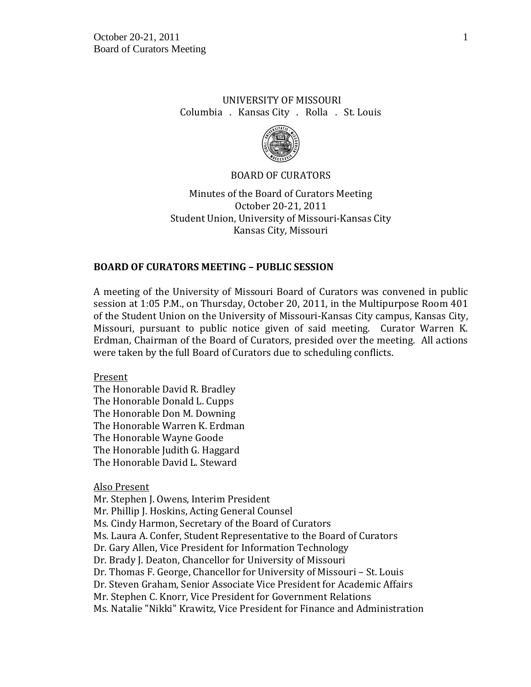# UNIVERSITY OF MISSOURI Columbia . Kansas City . Rolla . St. Louis



### BOARD OF CURATORS

Minutes of the Board of Curators Meeting October 20-21, 2011 Student Union, University of Missouri-Kansas City Kansas City, Missouri

## **BOARD OF CURATORS MEETING – PUBLIC SESSION**

A meeting of the University of Missouri Board of Curators was convened in public session at 1:05 P.M., on Thursday, October 20, 2011, in the Multipurpose Room 401 of the Student Union on the University of Missouri-Kansas City campus, Kansas City, Missouri, pursuant to public notice given of said meeting. Curator Warren K. Erdman, Chairman of the Board of Curators, presided over the meeting. All actions were taken by the full Board of Curators due to scheduling conflicts.

Present

The Honorable David R. Bradley The Honorable Donald L. Cupps The Honorable Don M. Downing The Honorable Warren K. Erdman The Honorable Wayne Goode The Honorable Judith G. Haggard The Honorable David L. Steward

Also Present

Mr. Stephen J. Owens, Interim President Mr. Phillip J. Hoskins, Acting General Counsel Ms. Cindy Harmon, Secretary of the Board of Curators Ms. Laura A. Confer, Student Representative to the Board of Curators Dr. Gary Allen, Vice President for Information Technology Dr. Brady J. Deaton, Chancellor for University of Missouri Dr. Thomas F. George, Chancellor for University of Missouri – St. Louis Dr. Steven Graham, Senior Associate Vice President for Academic Affairs Mr. Stephen C. Knorr, Vice President for Government Relations Ms. Natalie "Nikki" Krawitz, Vice President for Finance and Administration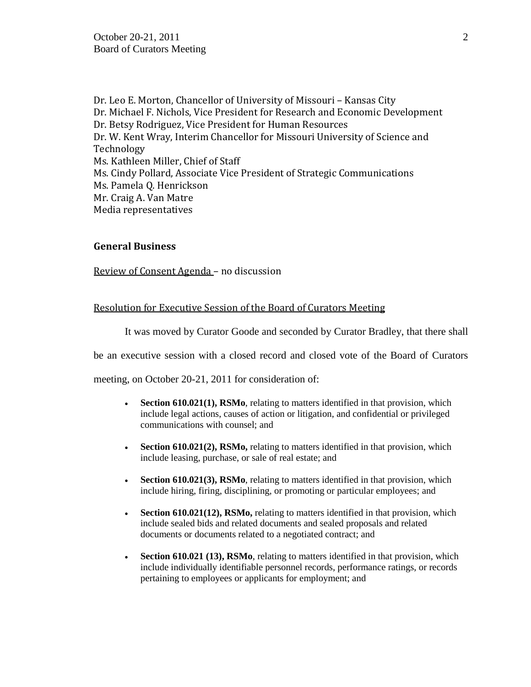Dr. Leo E. Morton, Chancellor of University of Missouri – Kansas City Dr. Michael F. Nichols, Vice President for Research and Economic Development Dr. Betsy Rodriguez, Vice President for Human Resources Dr. W. Kent Wray, Interim Chancellor for Missouri University of Science and Technology Ms. Kathleen Miller, Chief of Staff Ms. Cindy Pollard, Associate Vice President of Strategic Communications Ms. Pamela Q. Henrickson Mr. Craig A. Van Matre Media representatives

### **General Business**

Review of Consent Agenda – no discussion

## Resolution for Executive Session of the Board of Curators Meeting

It was moved by Curator Goode and seconded by Curator Bradley, that there shall

be an executive session with a closed record and closed vote of the Board of Curators

meeting, on October 20-21, 2011 for consideration of:

- **Section 610.021(1), RSMo**, relating to matters identified in that provision, which include legal actions, causes of action or litigation, and confidential or privileged communications with counsel; and
- **Section 610.021(2), RSMo,** relating to matters identified in that provision, which include leasing, purchase, or sale of real estate; and
- **Section 610.021(3), RSMo**, relating to matters identified in that provision, which include hiring, firing, disciplining, or promoting or particular employees; and
- **Section 610.021(12), RSMo,** relating to matters identified in that provision, which include sealed bids and related documents and sealed proposals and related documents or documents related to a negotiated contract; and
- **Section 610.021 (13), RSMo**, relating to matters identified in that provision, which include individually identifiable personnel records, performance ratings, or records pertaining to employees or applicants for employment; and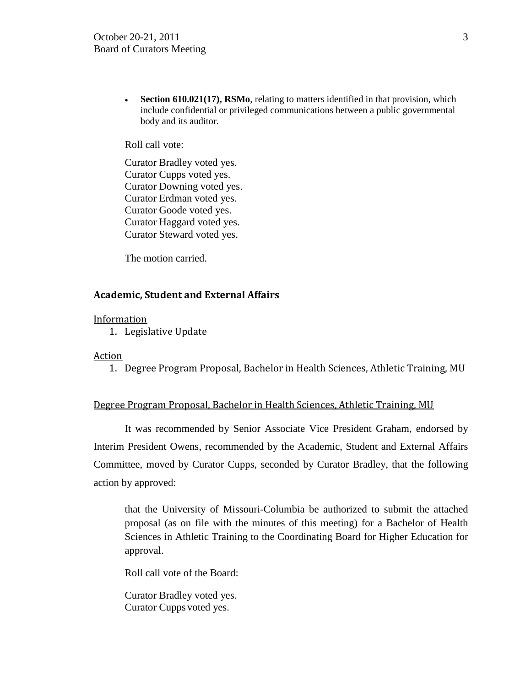• **Section 610.021(17), RSMo**, relating to matters identified in that provision, which include confidential or privileged communications between a public governmental body and its auditor.

Roll call vote:

Curator Bradley voted yes. Curator Cupps voted yes. Curator Downing voted yes. Curator Erdman voted yes. Curator Goode voted yes. Curator Haggard voted yes. Curator Steward voted yes.

The motion carried.

## **Academic, Student and External Affairs**

### **Information**

1. Legislative Update

### Action

1. Degree Program Proposal, Bachelor in Health Sciences, Athletic Training, MU

### Degree Program Proposal, Bachelor in Health Sciences, Athletic Training, MU

It was recommended by Senior Associate Vice President Graham, endorsed by Interim President Owens, recommended by the Academic, Student and External Affairs Committee, moved by Curator Cupps, seconded by Curator Bradley, that the following action by approved:

that the University of Missouri-Columbia be authorized to submit the attached proposal (as on file with the minutes of this meeting) for a Bachelor of Health Sciences in Athletic Training to the Coordinating Board for Higher Education for approval.

Roll call vote of the Board:

Curator Bradley voted yes. Curator Cupps voted yes.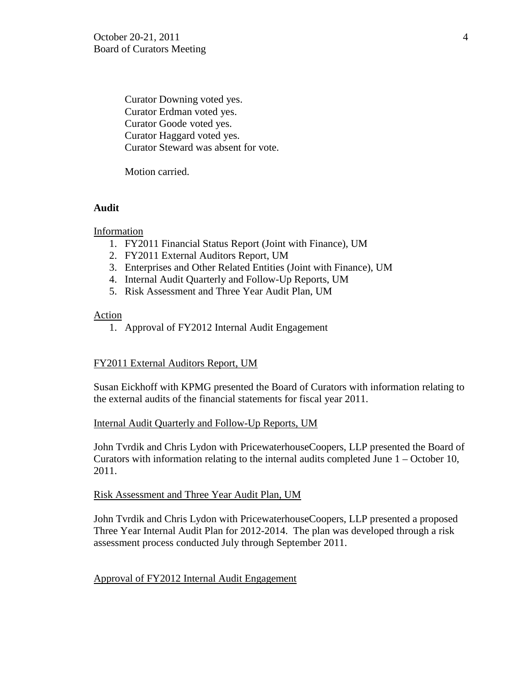Curator Downing voted yes. Curator Erdman voted yes. Curator Goode voted yes. Curator Haggard voted yes. Curator Steward was absent for vote.

Motion carried.

## **Audit**

Information

- 1. FY2011 Financial Status Report (Joint with Finance), UM
- 2. FY2011 External Auditors Report, UM
- 3. Enterprises and Other Related Entities (Joint with Finance), UM
- 4. Internal Audit Quarterly and Follow-Up Reports, UM
- 5. Risk Assessment and Three Year Audit Plan, UM

Action

1. Approval of FY2012 Internal Audit Engagement

## FY2011 External Auditors Report, UM

Susan Eickhoff with KPMG presented the Board of Curators with information relating to the external audits of the financial statements for fiscal year 2011.

## Internal Audit Quarterly and Follow-Up Reports, UM

John Tvrdik and Chris Lydon with PricewaterhouseCoopers, LLP presented the Board of Curators with information relating to the internal audits completed June 1 – October 10, 2011.

## Risk Assessment and Three Year Audit Plan, UM

John Tvrdik and Chris Lydon with PricewaterhouseCoopers, LLP presented a proposed Three Year Internal Audit Plan for 2012-2014. The plan was developed through a risk assessment process conducted July through September 2011.

## Approval of FY2012 Internal Audit Engagement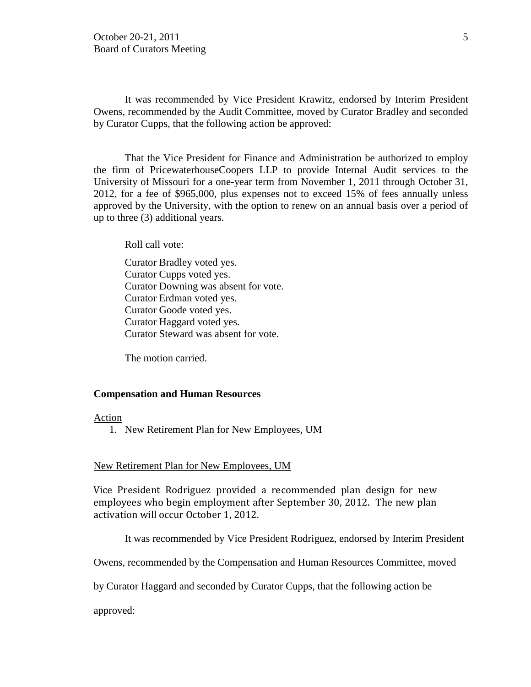It was recommended by Vice President Krawitz, endorsed by Interim President Owens, recommended by the Audit Committee, moved by Curator Bradley and seconded by Curator Cupps, that the following action be approved:

That the Vice President for Finance and Administration be authorized to employ the firm of PricewaterhouseCoopers LLP to provide Internal Audit services to the University of Missouri for a one-year term from November 1, 2011 through October 31, 2012, for a fee of \$965,000, plus expenses not to exceed 15% of fees annually unless approved by the University, with the option to renew on an annual basis over a period of up to three (3) additional years.

Roll call vote:

Curator Bradley voted yes. Curator Cupps voted yes. Curator Downing was absent for vote. Curator Erdman voted yes. Curator Goode voted yes. Curator Haggard voted yes. Curator Steward was absent for vote.

The motion carried.

#### **Compensation and Human Resources**

#### Action

1. New Retirement Plan for New Employees, UM

#### New Retirement Plan for New Employees, UM

Vice President Rodriguez provided a recommended plan design for new employees who begin employment after September 30, 2012. The new plan activation will occur October 1, 2012.

It was recommended by Vice President Rodriguez, endorsed by Interim President

Owens, recommended by the Compensation and Human Resources Committee, moved

by Curator Haggard and seconded by Curator Cupps, that the following action be

approved: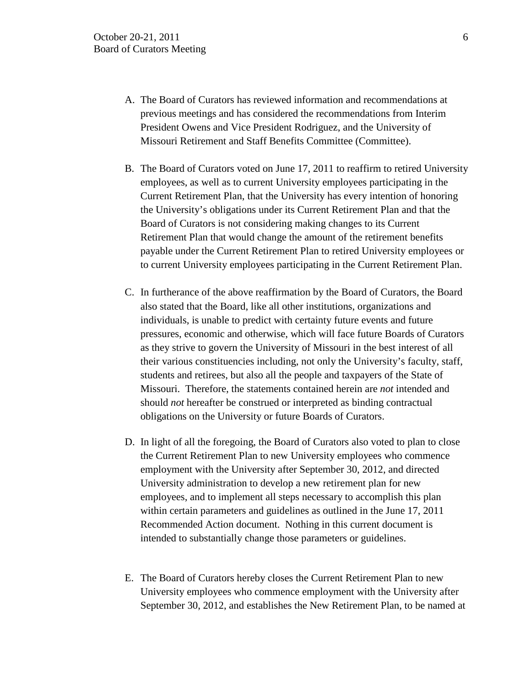- A. The Board of Curators has reviewed information and recommendations at previous meetings and has considered the recommendations from Interim President Owens and Vice President Rodriguez, and the University of Missouri Retirement and Staff Benefits Committee (Committee).
- B. The Board of Curators voted on June 17, 2011 to reaffirm to retired University employees, as well as to current University employees participating in the Current Retirement Plan, that the University has every intention of honoring the University's obligations under its Current Retirement Plan and that the Board of Curators is not considering making changes to its Current Retirement Plan that would change the amount of the retirement benefits payable under the Current Retirement Plan to retired University employees or to current University employees participating in the Current Retirement Plan.
- C. In furtherance of the above reaffirmation by the Board of Curators, the Board also stated that the Board, like all other institutions, organizations and individuals, is unable to predict with certainty future events and future pressures, economic and otherwise, which will face future Boards of Curators as they strive to govern the University of Missouri in the best interest of all their various constituencies including, not only the University's faculty, staff, students and retirees, but also all the people and taxpayers of the State of Missouri. Therefore, the statements contained herein are *not* intended and should *not* hereafter be construed or interpreted as binding contractual obligations on the University or future Boards of Curators.
- D. In light of all the foregoing, the Board of Curators also voted to plan to close the Current Retirement Plan to new University employees who commence employment with the University after September 30, 2012, and directed University administration to develop a new retirement plan for new employees, and to implement all steps necessary to accomplish this plan within certain parameters and guidelines as outlined in the June 17, 2011 Recommended Action document. Nothing in this current document is intended to substantially change those parameters or guidelines.
- E. The Board of Curators hereby closes the Current Retirement Plan to new University employees who commence employment with the University after September 30, 2012, and establishes the New Retirement Plan, to be named at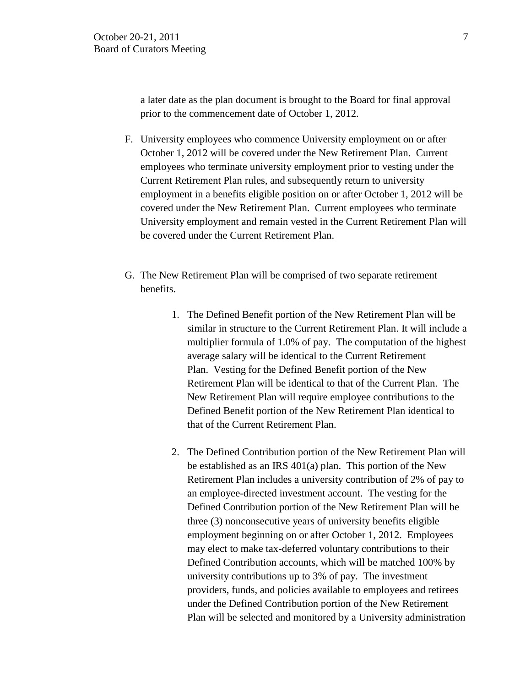a later date as the plan document is brought to the Board for final approval prior to the commencement date of October 1, 2012.

- F. University employees who commence University employment on or after October 1, 2012 will be covered under the New Retirement Plan. Current employees who terminate university employment prior to vesting under the Current Retirement Plan rules, and subsequently return to university employment in a benefits eligible position on or after October 1, 2012 will be covered under the New Retirement Plan. Current employees who terminate University employment and remain vested in the Current Retirement Plan will be covered under the Current Retirement Plan.
- G. The New Retirement Plan will be comprised of two separate retirement benefits.
	- 1. The Defined Benefit portion of the New Retirement Plan will be similar in structure to the Current Retirement Plan. It will include a multiplier formula of 1.0% of pay. The computation of the highest average salary will be identical to the Current Retirement Plan. Vesting for the Defined Benefit portion of the New Retirement Plan will be identical to that of the Current Plan. The New Retirement Plan will require employee contributions to the Defined Benefit portion of the New Retirement Plan identical to that of the Current Retirement Plan.
	- 2. The Defined Contribution portion of the New Retirement Plan will be established as an IRS 401(a) plan. This portion of the New Retirement Plan includes a university contribution of 2% of pay to an employee-directed investment account. The vesting for the Defined Contribution portion of the New Retirement Plan will be three (3) nonconsecutive years of university benefits eligible employment beginning on or after October 1, 2012. Employees may elect to make tax-deferred voluntary contributions to their Defined Contribution accounts, which will be matched 100% by university contributions up to 3% of pay. The investment providers, funds, and policies available to employees and retirees under the Defined Contribution portion of the New Retirement Plan will be selected and monitored by a University administration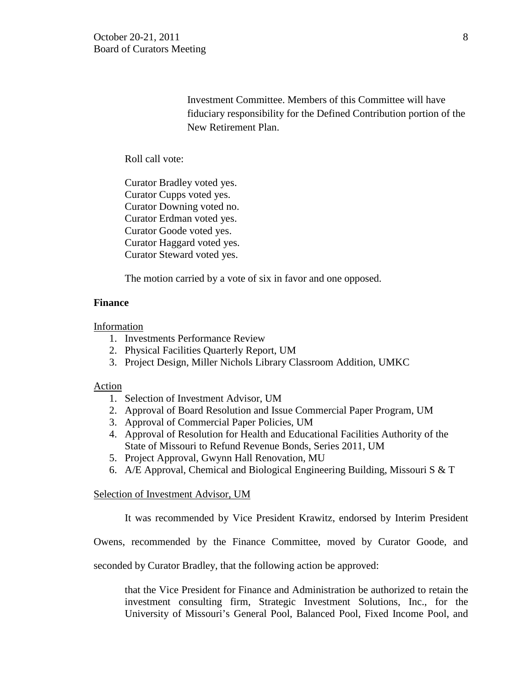Investment Committee. Members of this Committee will have fiduciary responsibility for the Defined Contribution portion of the New Retirement Plan.

Roll call vote:

Curator Bradley voted yes. Curator Cupps voted yes. Curator Downing voted no. Curator Erdman voted yes. Curator Goode voted yes. Curator Haggard voted yes. Curator Steward voted yes.

The motion carried by a vote of six in favor and one opposed.

### **Finance**

Information

- 1. Investments Performance Review
- 2. Physical Facilities Quarterly Report, UM
- 3. Project Design, Miller Nichols Library Classroom Addition, UMKC

### Action

- 1. Selection of Investment Advisor, UM
- 2. Approval of Board Resolution and Issue Commercial Paper Program, UM
- 3. Approval of Commercial Paper Policies, UM
- 4. Approval of Resolution for Health and Educational Facilities Authority of the State of Missouri to Refund Revenue Bonds, Series 2011, UM
- 5. Project Approval, Gwynn Hall Renovation, MU
- 6. A/E Approval, Chemical and Biological Engineering Building, Missouri S & T

### Selection of Investment Advisor, UM

It was recommended by Vice President Krawitz, endorsed by Interim President

Owens, recommended by the Finance Committee, moved by Curator Goode, and

seconded by Curator Bradley, that the following action be approved:

that the Vice President for Finance and Administration be authorized to retain the investment consulting firm, Strategic Investment Solutions, Inc., for the University of Missouri's General Pool, Balanced Pool, Fixed Income Pool, and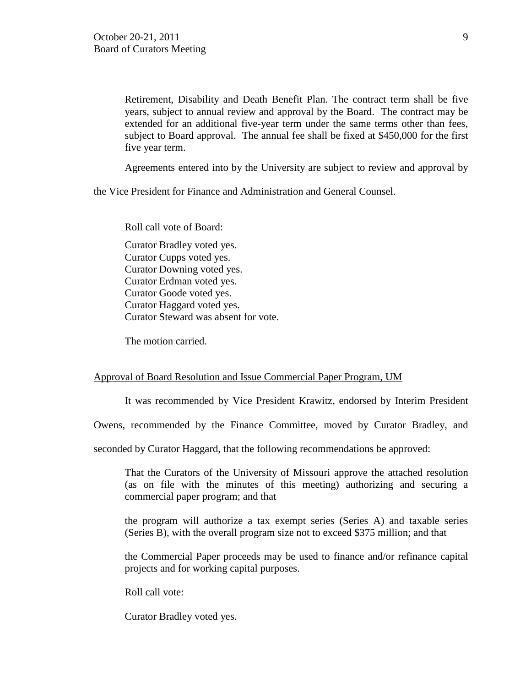Retirement, Disability and Death Benefit Plan. The contract term shall be five years, subject to annual review and approval by the Board. The contract may be extended for an additional five-year term under the same terms other than fees, subject to Board approval. The annual fee shall be fixed at \$450,000 for the first five year term.

Agreements entered into by the University are subject to review and approval by

the Vice President for Finance and Administration and General Counsel.

Roll call vote of Board: Curator Bradley voted yes. Curator Cupps voted yes. Curator Downing voted yes. Curator Erdman voted yes. Curator Goode voted yes. Curator Haggard voted yes. Curator Steward was absent for vote.

The motion carried.

### Approval of Board Resolution and Issue Commercial Paper Program, UM

It was recommended by Vice President Krawitz, endorsed by Interim President

Owens, recommended by the Finance Committee, moved by Curator Bradley, and

seconded by Curator Haggard, that the following recommendations be approved:

That the Curators of the University of Missouri approve the attached resolution (as on file with the minutes of this meeting) authorizing and securing a commercial paper program; and that

the program will authorize a tax exempt series (Series A) and taxable series (Series B), with the overall program size not to exceed \$375 million; and that

the Commercial Paper proceeds may be used to finance and/or refinance capital projects and for working capital purposes.

Roll call vote:

Curator Bradley voted yes.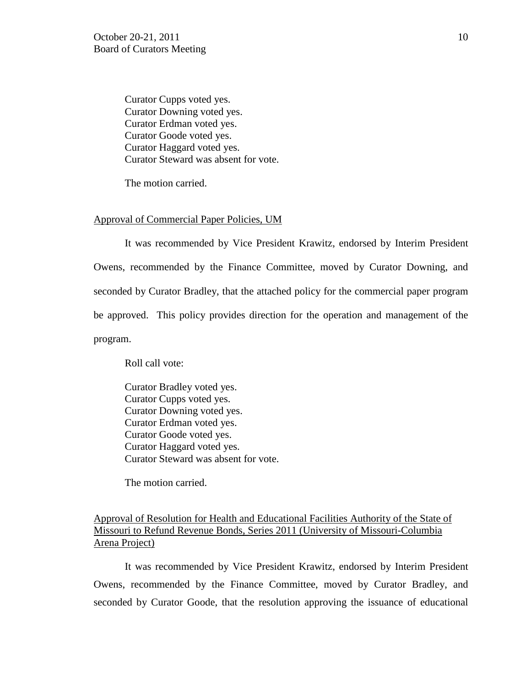Curator Cupps voted yes. Curator Downing voted yes. Curator Erdman voted yes. Curator Goode voted yes. Curator Haggard voted yes. Curator Steward was absent for vote.

The motion carried.

### Approval of Commercial Paper Policies, UM

It was recommended by Vice President Krawitz, endorsed by Interim President Owens, recommended by the Finance Committee, moved by Curator Downing, and seconded by Curator Bradley, that the attached policy for the commercial paper program be approved. This policy provides direction for the operation and management of the program.

Roll call vote:

Curator Bradley voted yes. Curator Cupps voted yes. Curator Downing voted yes. Curator Erdman voted yes. Curator Goode voted yes. Curator Haggard voted yes. Curator Steward was absent for vote.

The motion carried.

Approval of Resolution for Health and Educational Facilities Authority of the State of Missouri to Refund Revenue Bonds, Series 2011 (University of Missouri-Columbia Arena Project)

It was recommended by Vice President Krawitz, endorsed by Interim President Owens, recommended by the Finance Committee, moved by Curator Bradley, and seconded by Curator Goode, that the resolution approving the issuance of educational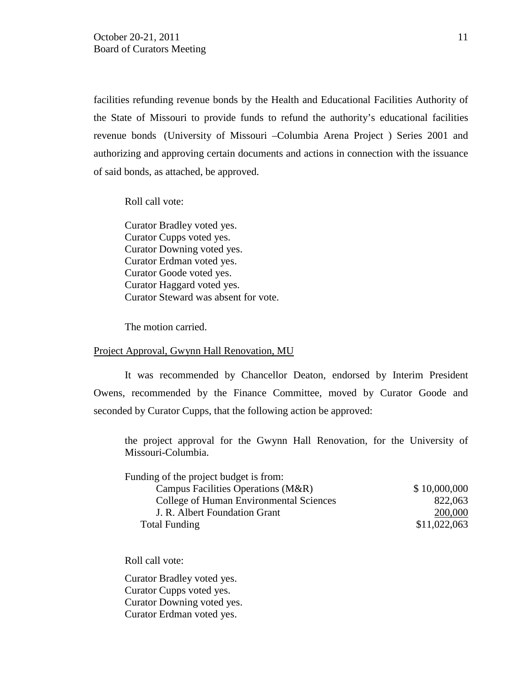facilities refunding revenue bonds by the Health and Educational Facilities Authority of the State of Missouri to provide funds to refund the authority's educational facilities revenue bonds (University of Missouri –Columbia Arena Project ) Series 2001 and authorizing and approving certain documents and actions in connection with the issuance of said bonds, as attached, be approved.

Roll call vote:

Curator Bradley voted yes. Curator Cupps voted yes. Curator Downing voted yes. Curator Erdman voted yes. Curator Goode voted yes. Curator Haggard voted yes. Curator Steward was absent for vote.

The motion carried.

#### Project Approval, Gwynn Hall Renovation, MU

It was recommended by Chancellor Deaton, endorsed by Interim President Owens, recommended by the Finance Committee, moved by Curator Goode and seconded by Curator Cupps, that the following action be approved:

the project approval for the Gwynn Hall Renovation, for the University of Missouri-Columbia.

| Funding of the project budget is from:  |              |
|-----------------------------------------|--------------|
| Campus Facilities Operations (M&R)      | \$10,000,000 |
| College of Human Environmental Sciences | 822,063      |
| J. R. Albert Foundation Grant           | 200,000      |
| <b>Total Funding</b>                    | \$11,022,063 |

Roll call vote:

Curator Bradley voted yes. Curator Cupps voted yes. Curator Downing voted yes. Curator Erdman voted yes.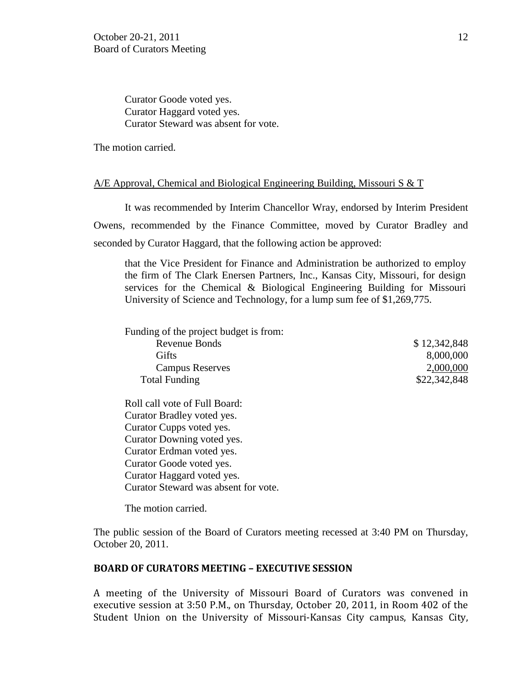Curator Goode voted yes. Curator Haggard voted yes. Curator Steward was absent for vote.

The motion carried.

### A/E Approval, Chemical and Biological Engineering Building, Missouri S & T

It was recommended by Interim Chancellor Wray, endorsed by Interim President Owens, recommended by the Finance Committee, moved by Curator Bradley and seconded by Curator Haggard, that the following action be approved:

that the Vice President for Finance and Administration be authorized to employ the firm of The Clark Enersen Partners, Inc., Kansas City, Missouri, for design services for the Chemical & Biological Engineering Building for Missouri University of Science and Technology, for a lump sum fee of \$1,269,775.

Funding of the project budget is from: Revenue Bonds \$ 12,342,848 Gifts 8,000,000 Campus Reserves 2,000,000 Total Funding \$22,342,848

Roll call vote of Full Board: Curator Bradley voted yes. Curator Cupps voted yes. Curator Downing voted yes. Curator Erdman voted yes. Curator Goode voted yes. Curator Haggard voted yes. Curator Steward was absent for vote.

The motion carried.

The public session of the Board of Curators meeting recessed at 3:40 PM on Thursday, October 20, 2011.

## **BOARD OF CURATORS MEETING – EXECUTIVE SESSION**

A meeting of the University of Missouri Board of Curators was convened in executive session at 3:50 P.M., on Thursday, October 20, 2011, in Room 402 of the Student Union on the University of Missouri-Kansas City campus, Kansas City,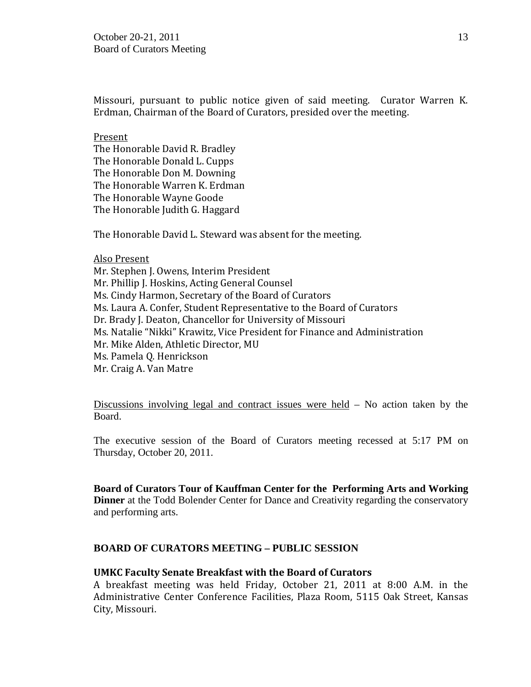Missouri, pursuant to public notice given of said meeting. Curator Warren K. Erdman, Chairman of the Board of Curators, presided over the meeting.

Present The Honorable David R. Bradley The Honorable Donald L. Cupps The Honorable Don M. Downing The Honorable Warren K. Erdman The Honorable Wayne Goode The Honorable Judith G. Haggard

The Honorable David L. Steward was absent for the meeting.

Also Present Mr. Stephen J. Owens, Interim President Mr. Phillip J. Hoskins, Acting General Counsel Ms. Cindy Harmon, Secretary of the Board of Curators Ms. Laura A. Confer, Student Representative to the Board of Curators Dr. Brady J. Deaton, Chancellor for University of Missouri Ms. Natalie "Nikki" Krawitz, Vice President for Finance and Administration Mr. Mike Alden, Athletic Director, MU Ms. Pamela Q. Henrickson Mr. Craig A. Van Matre

Discussions involving legal and contract issues were held – No action taken by the Board.

The executive session of the Board of Curators meeting recessed at 5:17 PM on Thursday, October 20, 2011.

**Board of Curators Tour of Kauffman Center for the Performing Arts and Working Dinner** at the Todd Bolender Center for Dance and Creativity regarding the conservatory and performing arts.

## **BOARD OF CURATORS MEETING – PUBLIC SESSION**

### **UMKC Faculty Senate Breakfast with the Board of Curators**

A breakfast meeting was held Friday, October 21, 2011 at 8:00 A.M. in the Administrative Center Conference Facilities, Plaza Room, 5115 Oak Street, Kansas City, Missouri.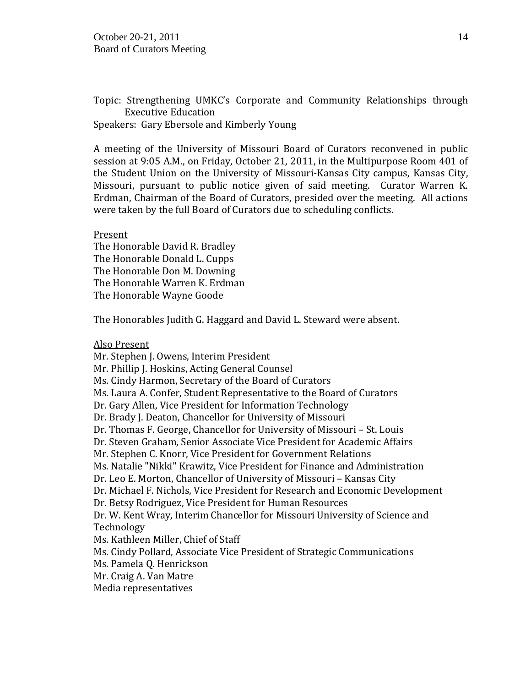Topic: Strengthening UMKC's Corporate and Community Relationships through Executive Education Speakers: Gary Ebersole and Kimberly Young

A meeting of the University of Missouri Board of Curators reconvened in public session at 9:05 A.M., on Friday, October 21, 2011, in the Multipurpose Room 401 of the Student Union on the University of Missouri-Kansas City campus, Kansas City, Missouri, pursuant to public notice given of said meeting. Curator Warren K. Erdman, Chairman of the Board of Curators, presided over the meeting. All actions were taken by the full Board of Curators due to scheduling conflicts.

Present The Honorable David R. Bradley The Honorable Donald L. Cupps The Honorable Don M. Downing The Honorable Warren K. Erdman The Honorable Wayne Goode

The Honorables Judith G. Haggard and David L. Steward were absent.

Also Present

Mr. Stephen J. Owens, Interim President Mr. Phillip J. Hoskins, Acting General Counsel Ms. Cindy Harmon, Secretary of the Board of Curators Ms. Laura A. Confer, Student Representative to the Board of Curators Dr. Gary Allen, Vice President for Information Technology Dr. Brady J. Deaton, Chancellor for University of Missouri Dr. Thomas F. George, Chancellor for University of Missouri – St. Louis Dr. Steven Graham, Senior Associate Vice President for Academic Affairs Mr. Stephen C. Knorr, Vice President for Government Relations Ms. Natalie "Nikki" Krawitz, Vice President for Finance and Administration Dr. Leo E. Morton, Chancellor of University of Missouri – Kansas City Dr. Michael F. Nichols, Vice President for Research and Economic Development Dr. Betsy Rodriguez, Vice President for Human Resources Dr. W. Kent Wray, Interim Chancellor for Missouri University of Science and Technology Ms. Kathleen Miller, Chief of Staff Ms. Cindy Pollard, Associate Vice President of Strategic Communications Ms. Pamela Q. Henrickson Mr. Craig A. Van Matre Media representatives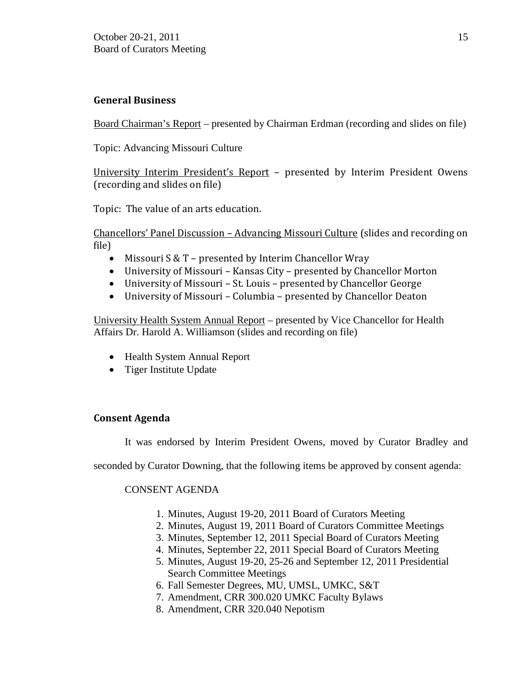# **General Business**

Board Chairman's Report – presented by Chairman Erdman (recording and slides on file)

Topic: Advancing Missouri Culture

University Interim President's Report – presented by Interim President Owens (recording and slides on file)

Topic: The value of an arts education.

Chancellors' Panel Discussion – Advancing Missouri Culture (slides and recording on file)

- Missouri S & T presented by Interim Chancellor Wray
- University of Missouri Kansas City presented by Chancellor Morton
- University of Missouri St. Louis presented by Chancellor George
- University of Missouri Columbia presented by Chancellor Deaton

University Health System Annual Report – presented by Vice Chancellor for Health Affairs Dr. Harold A. Williamson (slides and recording on file)

- Health System Annual Report
- Tiger Institute Update

# **Consent Agenda**

It was endorsed by Interim President Owens, moved by Curator Bradley and

seconded by Curator Downing, that the following items be approved by consent agenda:

# CONSENT AGENDA

- 1. Minutes, August 19-20, 2011 Board of Curators Meeting
- 2. Minutes, August 19, 2011 Board of Curators Committee Meetings
- 3. Minutes, September 12, 2011 Special Board of Curators Meeting
- 4. Minutes, September 22, 2011 Special Board of Curators Meeting
- 5. Minutes, August 19-20, 25-26 and September 12, 2011 Presidential Search Committee Meetings
- 6. Fall Semester Degrees, MU, UMSL, UMKC, S&T
- 7. Amendment, CRR 300.020 UMKC Faculty Bylaws
- 8. Amendment, CRR 320.040 Nepotism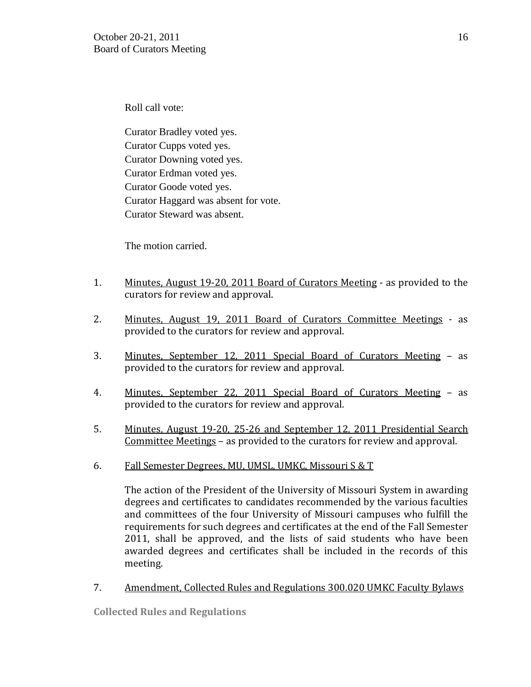Roll call vote:

Curator Bradley voted yes. Curator Cupps voted yes. Curator Downing voted yes. Curator Erdman voted yes. Curator Goode voted yes. Curator Haggard was absent for vote. Curator Steward was absent.

The motion carried.

- 1. Minutes, August 19-20, 2011 Board of Curators Meeting as provided to the curators for review and approval.
- 2. Minutes, August 19, 2011 Board of Curators Committee Meetings as provided to the curators for review and approval.
- 3. Minutes, September 12, 2011 Special Board of Curators Meeting as provided to the curators for review and approval.
- 4. Minutes, September 22, 2011 Special Board of Curators Meeting as provided to the curators for review and approval.
- 5. Minutes, August 19-20, 25-26 and September 12, 2011 Presidential Search Committee Meetings – as provided to the curators for review and approval.
- 6. Fall Semester Degrees, MU, UMSL, UMKC, Missouri S & T

The action of the President of the University of Missouri System in awarding degrees and certificates to candidates recommended by the various faculties and committees of the four University of Missouri campuses who fulfill the requirements for such degrees and certificates at the end of the Fall Semester 2011, shall be approved, and the lists of said students who have been awarded degrees and certificates shall be included in the records of this meeting.

# 7. Amendment, Collected Rules and Regulations 300.020 UMKC Faculty Bylaws

**Collected Rules and Regulations**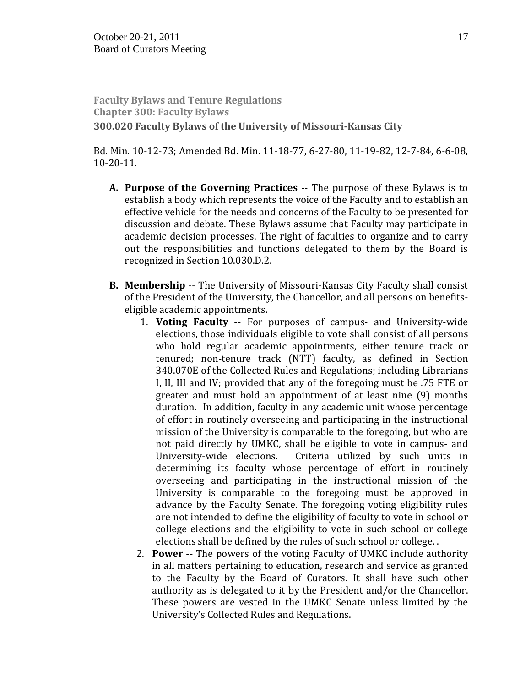**Faculty Bylaws and Tenure Regulations Chapter 300: Faculty Bylaws 300.020 Faculty Bylaws of the University of Missouri-Kansas City**

Bd. Min. 10-12-73; Amended Bd. Min. 11-18-77, 6-27-80, 11-19-82, 12-7-84, 6-6-08, 10-20-11.

- **A. Purpose of the Governing Practices** -- The purpose of these Bylaws is to establish a body which represents the voice of the Faculty and to establish an effective vehicle for the needs and concerns of the Faculty to be presented for discussion and debate. These Bylaws assume that Faculty may participate in academic decision processes. The right of faculties to organize and to carry out the responsibilities and functions delegated to them by the Board is recognized in Section 10.030.D.2.
- **B. Membership** -- The University of Missouri-Kansas City Faculty shall consist of the President of the University, the Chancellor, and all persons on benefitseligible academic appointments.
	- 1. **Voting Faculty** -- For purposes of campus- and University-wide elections, those individuals eligible to vote shall consist of all persons who hold regular academic appointments, either tenure track or tenured; non-tenure track (NTT) faculty, as defined in Section 340.070E of the Collected Rules and Regulations; including Librarians I, II, III and IV; provided that any of the foregoing must be .75 FTE or greater and must hold an appointment of at least nine (9) months duration. In addition, faculty in any academic unit whose percentage of effort in routinely overseeing and participating in the instructional mission of the University is comparable to the foregoing, but who are not paid directly by UMKC, shall be eligible to vote in campus- and University-wide elections. Criteria utilized by such units in Criteria utilized by such units in determining its faculty whose percentage of effort in routinely overseeing and participating in the instructional mission of the University is comparable to the foregoing must be approved in advance by the Faculty Senate. The foregoing voting eligibility rules are not intended to define the eligibility of faculty to vote in school or college elections and the eligibility to vote in such school or college elections shall be defined by the rules of such school or college. .
	- 2. **Power** -- The powers of the voting Faculty of UMKC include authority in all matters pertaining to education, research and service as granted to the Faculty by the Board of Curators. It shall have such other authority as is delegated to it by the President and/or the Chancellor. These powers are vested in the UMKC Senate unless limited by the University's Collected Rules and Regulations.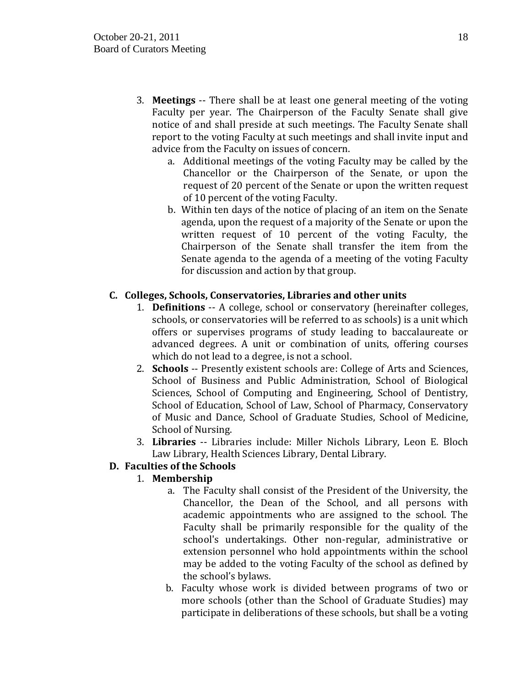- 3. **Meetings** -- There shall be at least one general meeting of the voting Faculty per year. The Chairperson of the Faculty Senate shall give notice of and shall preside at such meetings. The Faculty Senate shall report to the voting Faculty at such meetings and shall invite input and advice from the Faculty on issues of concern.
	- a. Additional meetings of the voting Faculty may be called by the Chancellor or the Chairperson of the Senate, or upon the request of 20 percent of the Senate or upon the written request of 10 percent of the voting Faculty.
	- b. Within ten days of the notice of placing of an item on the Senate agenda, upon the request of a majority of the Senate or upon the written request of 10 percent of the voting Faculty, the Chairperson of the Senate shall transfer the item from the Senate agenda to the agenda of a meeting of the voting Faculty for discussion and action by that group.

# **C. Colleges, Schools, Conservatories, Libraries and other units**

- 1. **Definitions** -- A college, school or conservatory (hereinafter colleges, schools, or conservatories will be referred to as schools) is a unit which offers or supervises programs of study leading to baccalaureate or advanced degrees. A unit or combination of units, offering courses which do not lead to a degree, is not a school.
- 2. **Schools** -- Presently existent schools are: College of Arts and Sciences, School of Business and Public Administration, School of Biological Sciences, School of Computing and Engineering, School of Dentistry, School of Education, School of Law, School of Pharmacy, Conservatory of Music and Dance, School of Graduate Studies, School of Medicine, School of Nursing.
- 3. **Libraries** -- Libraries include: Miller Nichols Library, Leon E. Bloch Law Library, Health Sciences Library, Dental Library.

# **D. Faculties of the Schools**

# 1. **Membership**

- a. The Faculty shall consist of the President of the University, the Chancellor, the Dean of the School, and all persons with academic appointments who are assigned to the school. The Faculty shall be primarily responsible for the quality of the school's undertakings. Other non-regular, administrative or extension personnel who hold appointments within the school may be added to the voting Faculty of the school as defined by the school's bylaws.
- b. Faculty whose work is divided between programs of two or more schools (other than the School of Graduate Studies) may participate in deliberations of these schools, but shall be a voting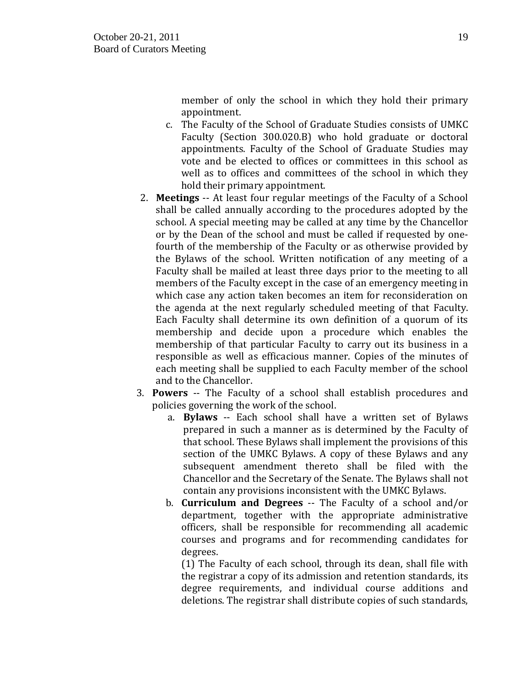member of only the school in which they hold their primary appointment.

- c. The Faculty of the School of Graduate Studies consists of UMKC Faculty (Section 300.020.B) who hold graduate or doctoral appointments. Faculty of the School of Graduate Studies may vote and be elected to offices or committees in this school as well as to offices and committees of the school in which they hold their primary appointment.
- 2. **Meetings** -- At least four regular meetings of the Faculty of a School shall be called annually according to the procedures adopted by the school. A special meeting may be called at any time by the Chancellor or by the Dean of the school and must be called if requested by onefourth of the membership of the Faculty or as otherwise provided by the Bylaws of the school. Written notification of any meeting of a Faculty shall be mailed at least three days prior to the meeting to all members of the Faculty except in the case of an emergency meeting in which case any action taken becomes an item for reconsideration on the agenda at the next regularly scheduled meeting of that Faculty. Each Faculty shall determine its own definition of a quorum of its membership and decide upon a procedure which enables the membership of that particular Faculty to carry out its business in a responsible as well as efficacious manner. Copies of the minutes of each meeting shall be supplied to each Faculty member of the school and to the Chancellor.
- 3. **Powers** -- The Faculty of a school shall establish procedures and policies governing the work of the school.
	- a. **Bylaws** -- Each school shall have a written set of Bylaws prepared in such a manner as is determined by the Faculty of that school. These Bylaws shall implement the provisions of this section of the UMKC Bylaws. A copy of these Bylaws and any subsequent amendment thereto shall be filed with the Chancellor and the Secretary of the Senate. The Bylaws shall not contain any provisions inconsistent with the UMKC Bylaws.
	- b. **Curriculum and Degrees** -- The Faculty of a school and/or department, together with the appropriate administrative officers, shall be responsible for recommending all academic courses and programs and for recommending candidates for degrees.

(1) The Faculty of each school, through its dean, shall file with the registrar a copy of its admission and retention standards, its degree requirements, and individual course additions and deletions. The registrar shall distribute copies of such standards,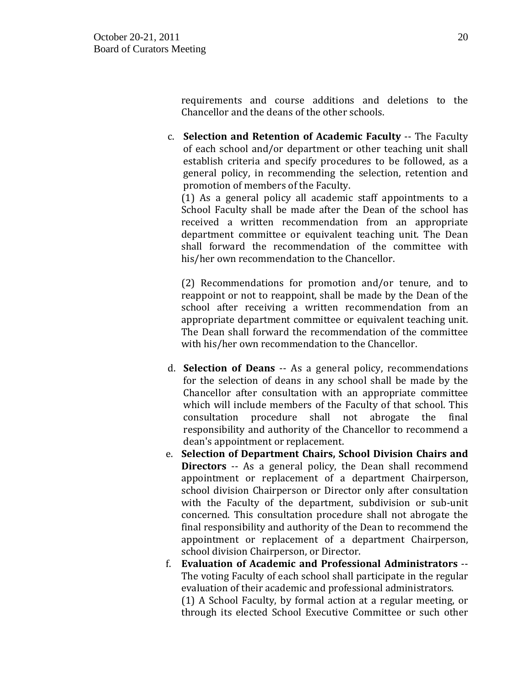requirements and course additions and deletions to the Chancellor and the deans of the other schools.

c. **Selection and Retention of Academic Faculty** -- The Faculty of each school and/or department or other teaching unit shall establish criteria and specify procedures to be followed, as a general policy, in recommending the selection, retention and promotion of members of the Faculty.

(1) As a general policy all academic staff appointments to a School Faculty shall be made after the Dean of the school has received a written recommendation from an appropriate department committee or equivalent teaching unit. The Dean shall forward the recommendation of the committee with his/her own recommendation to the Chancellor.

(2) Recommendations for promotion and/or tenure, and to reappoint or not to reappoint, shall be made by the Dean of the school after receiving a written recommendation from an appropriate department committee or equivalent teaching unit. The Dean shall forward the recommendation of the committee with his/her own recommendation to the Chancellor.

- d. **Selection of Deans** -- As a general policy, recommendations for the selection of deans in any school shall be made by the Chancellor after consultation with an appropriate committee which will include members of the Faculty of that school. This consultation procedure shall not abrogate the final consultation procedure shall not abrogate responsibility and authority of the Chancellor to recommend a dean's appointment or replacement.
- e. **Selection of Department Chairs, School Division Chairs and Directors** -- As a general policy, the Dean shall recommend appointment or replacement of a department Chairperson, school division Chairperson or Director only after consultation with the Faculty of the department, subdivision or sub-unit concerned. This consultation procedure shall not abrogate the final responsibility and authority of the Dean to recommend the appointment or replacement of a department Chairperson, school division Chairperson, or Director.
- f. **Evaluation of Academic and Professional Administrators** -- The voting Faculty of each school shall participate in the regular evaluation of their academic and professional administrators. (1) A School Faculty, by formal action at a regular meeting, or through its elected School Executive Committee or such other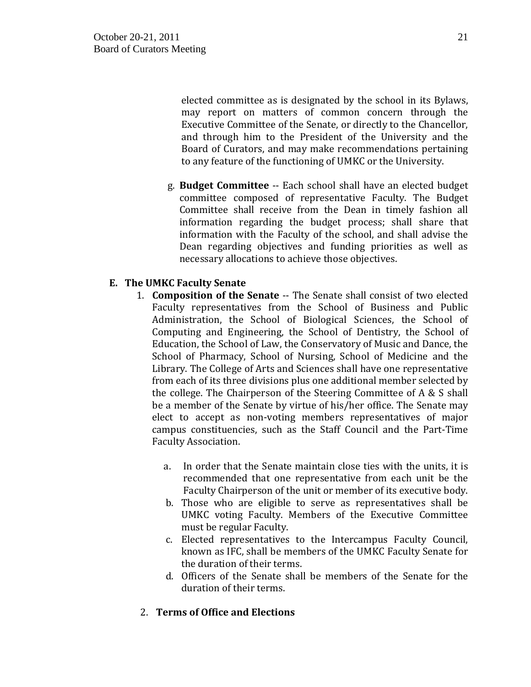elected committee as is designated by the school in its Bylaws, may report on matters of common concern through the Executive Committee of the Senate, or directly to the Chancellor, and through him to the President of the University and the Board of Curators, and may make recommendations pertaining to any feature of the functioning of UMKC or the University.

g. **Budget Committee** -- Each school shall have an elected budget committee composed of representative Faculty. The Budget Committee shall receive from the Dean in timely fashion all information regarding the budget process; shall share that information with the Faculty of the school, and shall advise the Dean regarding objectives and funding priorities as well as necessary allocations to achieve those objectives.

# **E. The UMKC Faculty Senate**

- 1. **Composition of the Senate** -- The Senate shall consist of two elected Faculty representatives from the School of Business and Public Administration, the School of Biological Sciences, the School of Computing and Engineering, the School of Dentistry, the School of Education, the School of Law, the Conservatory of Music and Dance, the School of Pharmacy, School of Nursing, School of Medicine and the Library. The College of Arts and Sciences shall have one representative from each of its three divisions plus one additional member selected by the college. The Chairperson of the Steering Committee of A & S shall be a member of the Senate by virtue of his/her office. The Senate may elect to accept as non-voting members representatives of major campus constituencies, such as the Staff Council and the Part-Time Faculty Association.
	- a. In order that the Senate maintain close ties with the units, it is recommended that one representative from each unit be the Faculty Chairperson of the unit or member of its executive body.
	- b. Those who are eligible to serve as representatives shall be UMKC voting Faculty. Members of the Executive Committee must be regular Faculty.
	- c. Elected representatives to the Intercampus Faculty Council, known as IFC, shall be members of the UMKC Faculty Senate for the duration of their terms.
	- d. Officers of the Senate shall be members of the Senate for the duration of their terms.

# 2. **Terms of Office and Elections**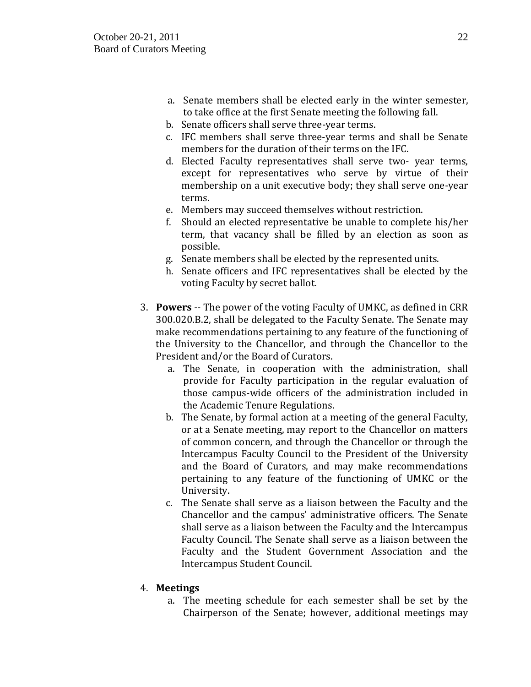- a. Senate members shall be elected early in the winter semester, to take office at the first Senate meeting the following fall.
- b. Senate officers shall serve three-year terms.
- c. IFC members shall serve three-year terms and shall be Senate members for the duration of their terms on the IFC.
- d. Elected Faculty representatives shall serve two- year terms, except for representatives who serve by virtue of their membership on a unit executive body; they shall serve one-year terms.
- e. Members may succeed themselves without restriction.
- f. Should an elected representative be unable to complete his/her term, that vacancy shall be filled by an election as soon as possible.
- g. Senate members shall be elected by the represented units.
- h. Senate officers and IFC representatives shall be elected by the voting Faculty by secret ballot.
- 3. **Powers** -- The power of the voting Faculty of UMKC, as defined in CRR 300.020.B.2, shall be delegated to the Faculty Senate. The Senate may make recommendations pertaining to any feature of the functioning of the University to the Chancellor, and through the Chancellor to the President and/or the Board of Curators.
	- a. The Senate, in cooperation with the administration, shall provide for Faculty participation in the regular evaluation of those campus-wide officers of the administration included in the Academic Tenure Regulations.
	- b. The Senate, by formal action at a meeting of the general Faculty, or at a Senate meeting, may report to the Chancellor on matters of common concern, and through the Chancellor or through the Intercampus Faculty Council to the President of the University and the Board of Curators, and may make recommendations pertaining to any feature of the functioning of UMKC or the University.
	- c. The Senate shall serve as a liaison between the Faculty and the Chancellor and the campus' administrative officers. The Senate shall serve as a liaison between the Faculty and the Intercampus Faculty Council. The Senate shall serve as a liaison between the Faculty and the Student Government Association and the Intercampus Student Council.

# 4. **Meetings**

a. The meeting schedule for each semester shall be set by the Chairperson of the Senate; however, additional meetings may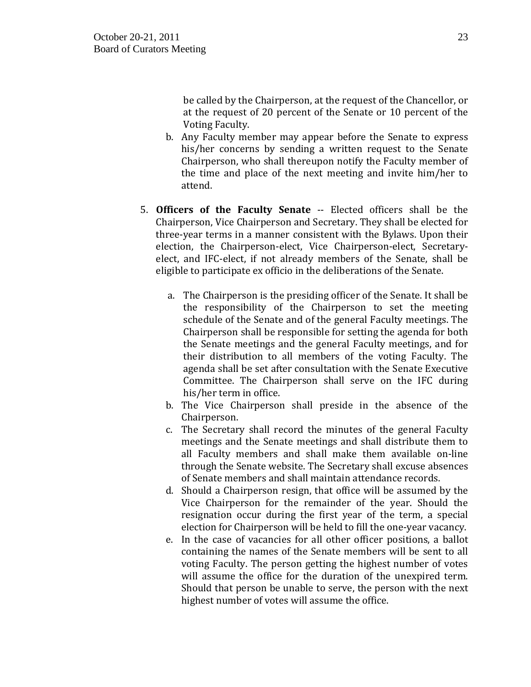be called by the Chairperson, at the request of the Chancellor, or at the request of 20 percent of the Senate or 10 percent of the Voting Faculty.

- b. Any Faculty member may appear before the Senate to express his/her concerns by sending a written request to the Senate Chairperson, who shall thereupon notify the Faculty member of the time and place of the next meeting and invite him/her to attend.
- 5. **Officers of the Faculty Senate** -- Elected officers shall be the Chairperson, Vice Chairperson and Secretary. They shall be elected for three-year terms in a manner consistent with the Bylaws. Upon their election, the Chairperson-elect, Vice Chairperson-elect, Secretaryelect, and IFC-elect, if not already members of the Senate, shall be eligible to participate ex officio in the deliberations of the Senate.
	- a. The Chairperson is the presiding officer of the Senate. It shall be the responsibility of the Chairperson to set the meeting schedule of the Senate and of the general Faculty meetings. The Chairperson shall be responsible for setting the agenda for both the Senate meetings and the general Faculty meetings, and for their distribution to all members of the voting Faculty. The agenda shall be set after consultation with the Senate Executive Committee. The Chairperson shall serve on the IFC during his/her term in office.
	- b. The Vice Chairperson shall preside in the absence of the Chairperson.
	- c. The Secretary shall record the minutes of the general Faculty meetings and the Senate meetings and shall distribute them to all Faculty members and shall make them available on-line through the Senate website. The Secretary shall excuse absences of Senate members and shall maintain attendance records.
	- d. Should a Chairperson resign, that office will be assumed by the Vice Chairperson for the remainder of the year. Should the resignation occur during the first year of the term, a special election for Chairperson will be held to fill the one-year vacancy.
	- e. In the case of vacancies for all other officer positions, a ballot containing the names of the Senate members will be sent to all voting Faculty. The person getting the highest number of votes will assume the office for the duration of the unexpired term. Should that person be unable to serve, the person with the next highest number of votes will assume the office.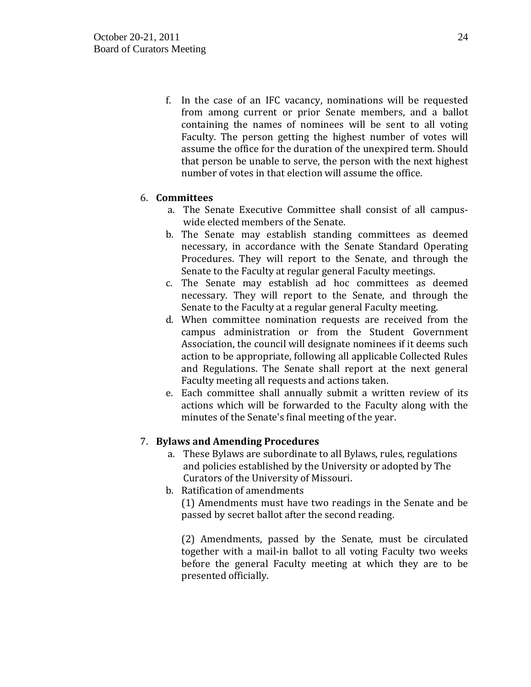f. In the case of an IFC vacancy, nominations will be requested from among current or prior Senate members, and a ballot containing the names of nominees will be sent to all voting Faculty. The person getting the highest number of votes will assume the office for the duration of the unexpired term. Should that person be unable to serve, the person with the next highest number of votes in that election will assume the office.

# 6. **Committees**

- a. The Senate Executive Committee shall consist of all campuswide elected members of the Senate.
- b. The Senate may establish standing committees as deemed necessary, in accordance with the Senate Standard Operating Procedures. They will report to the Senate, and through the Senate to the Faculty at regular general Faculty meetings.
- c. The Senate may establish ad hoc committees as deemed necessary. They will report to the Senate, and through the Senate to the Faculty at a regular general Faculty meeting.
- d. When committee nomination requests are received from the campus administration or from the Student Government Association, the council will designate nominees if it deems such action to be appropriate, following all applicable Collected Rules and Regulations. The Senate shall report at the next general Faculty meeting all requests and actions taken.
- e. Each committee shall annually submit a written review of its actions which will be forwarded to the Faculty along with the minutes of the Senate's final meeting of the year.

# 7. **Bylaws and Amending Procedures**

- a. These Bylaws are subordinate to all Bylaws, rules, regulations and policies established by the University or adopted by The Curators of the University of Missouri.
- b. Ratification of amendments

(1) Amendments must have two readings in the Senate and be passed by secret ballot after the second reading.

(2) Amendments, passed by the Senate, must be circulated together with a mail-in ballot to all voting Faculty two weeks before the general Faculty meeting at which they are to be presented officially.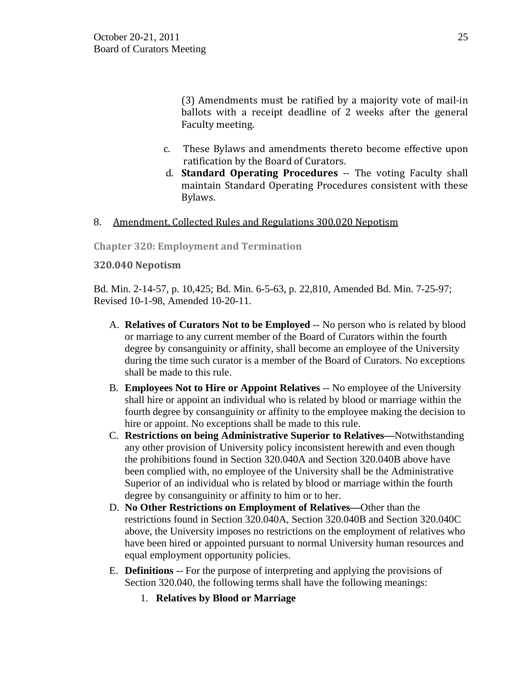(3) Amendments must be ratified by a majority vote of mail-in ballots with a receipt deadline of 2 weeks after the general Faculty meeting.

- c. These Bylaws and amendments thereto become effective upon ratification by the Board of Curators.
- d. **Standard Operating Procedures** -- The voting Faculty shall maintain Standard Operating Procedures consistent with these Bylaws.

## 8. Amendment, Collected Rules and Regulations 300.020 Nepotism

**Chapter 320: Employment and Termination**

## **320.040 Nepotism**

Bd. Min. 2-14-57, p. 10,425; Bd. Min. 6-5-63, p. 22,810, Amended Bd. Min. 7-25-97; Revised 10-1-98, Amended 10-20-11.

- A. **Relatives of Curators Not to be Employed** -- No person who is related by blood or marriage to any current member of the Board of Curators within the fourth degree by consanguinity or affinity, shall become an employee of the University during the time such curator is a member of the Board of Curators. No exceptions shall be made to this rule.
- B. **Employees Not to Hire or Appoint Relatives** -- No employee of the University shall hire or appoint an individual who is related by blood or marriage within the fourth degree by consanguinity or affinity to the employee making the decision to hire or appoint. No exceptions shall be made to this rule.
- C. **Restrictions on being Administrative Superior to Relatives—**Notwithstanding any other provision of University policy inconsistent herewith and even though the prohibitions found in Section 320.040A and Section 320.040B above have been complied with, no employee of the University shall be the Administrative Superior of an individual who is related by blood or marriage within the fourth degree by consanguinity or affinity to him or to her.
- D. **No Other Restrictions on Employment of Relatives—**Other than the restrictions found in Section 320.040A, Section 320.040B and Section 320.040C above, the University imposes no restrictions on the employment of relatives who have been hired or appointed pursuant to normal University human resources and equal employment opportunity policies.
- E. **Definitions** -- For the purpose of interpreting and applying the provisions of Section 320.040, the following terms shall have the following meanings:
	- 1. **Relatives by Blood or Marriage**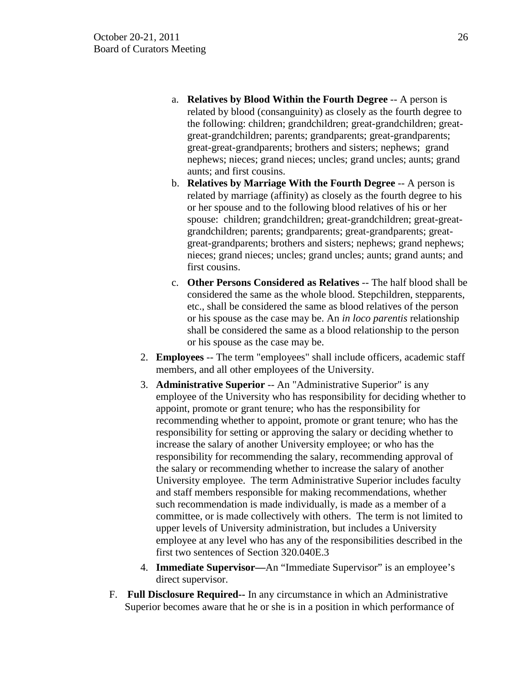- a. **Relatives by Blood Within the Fourth Degree** -- A person is related by blood (consanguinity) as closely as the fourth degree to the following: children; grandchildren; great-grandchildren; greatgreat-grandchildren; parents; grandparents; great-grandparents; great-great-grandparents; brothers and sisters; nephews; grand nephews; nieces; grand nieces; uncles; grand uncles; aunts; grand aunts; and first cousins.
- b. **Relatives by Marriage With the Fourth Degree** -- A person is related by marriage (affinity) as closely as the fourth degree to his or her spouse and to the following blood relatives of his or her spouse: children; grandchildren; great-grandchildren; great-greatgrandchildren; parents; grandparents; great-grandparents; greatgreat-grandparents; brothers and sisters; nephews; grand nephews; nieces; grand nieces; uncles; grand uncles; aunts; grand aunts; and first cousins.
- c. **Other Persons Considered as Relatives** -- The half blood shall be considered the same as the whole blood. Stepchildren, stepparents, etc., shall be considered the same as blood relatives of the person or his spouse as the case may be. An *in loco parentis* relationship shall be considered the same as a blood relationship to the person or his spouse as the case may be.
- 2. **Employees** -- The term "employees" shall include officers, academic staff members, and all other employees of the University.
- 3. **Administrative Superior** -- An "Administrative Superior" is any employee of the University who has responsibility for deciding whether to appoint, promote or grant tenure; who has the responsibility for recommending whether to appoint, promote or grant tenure; who has the responsibility for setting or approving the salary or deciding whether to increase the salary of another University employee; or who has the responsibility for recommending the salary, recommending approval of the salary or recommending whether to increase the salary of another University employee. The term Administrative Superior includes faculty and staff members responsible for making recommendations, whether such recommendation is made individually, is made as a member of a committee, or is made collectively with others. The term is not limited to upper levels of University administration, but includes a University employee at any level who has any of the responsibilities described in the first two sentences of Section 320.040E.3
- 4. **Immediate Supervisor—**An "Immediate Supervisor" is an employee's direct supervisor.
- F. **Full Disclosure Required--** In any circumstance in which an Administrative Superior becomes aware that he or she is in a position in which performance of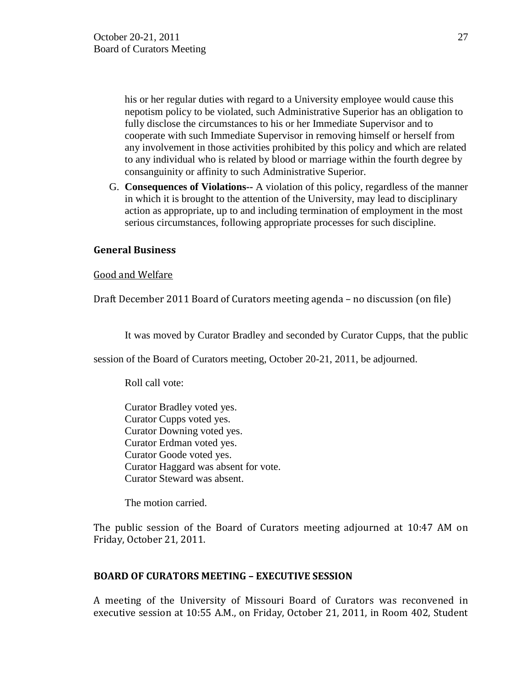his or her regular duties with regard to a University employee would cause this nepotism policy to be violated, such Administrative Superior has an obligation to fully disclose the circumstances to his or her Immediate Supervisor and to cooperate with such Immediate Supervisor in removing himself or herself from any involvement in those activities prohibited by this policy and which are related to any individual who is related by blood or marriage within the fourth degree by consanguinity or affinity to such Administrative Superior.

G. **Consequences of Violations--** A violation of this policy, regardless of the manner in which it is brought to the attention of the University, may lead to disciplinary action as appropriate, up to and including termination of employment in the most serious circumstances, following appropriate processes for such discipline.

## **General Business**

Good and Welfare

Draft December 2011 Board of Curators meeting agenda – no discussion (on file)

It was moved by Curator Bradley and seconded by Curator Cupps, that the public

session of the Board of Curators meeting, October 20-21, 2011, be adjourned.

Roll call vote:

Curator Bradley voted yes. Curator Cupps voted yes. Curator Downing voted yes. Curator Erdman voted yes. Curator Goode voted yes. Curator Haggard was absent for vote. Curator Steward was absent.

The motion carried.

The public session of the Board of Curators meeting adjourned at 10:47 AM on Friday, October 21, 2011.

# **BOARD OF CURATORS MEETING – EXECUTIVE SESSION**

A meeting of the University of Missouri Board of Curators was reconvened in executive session at 10:55 A.M., on Friday, October 21, 2011, in Room 402, Student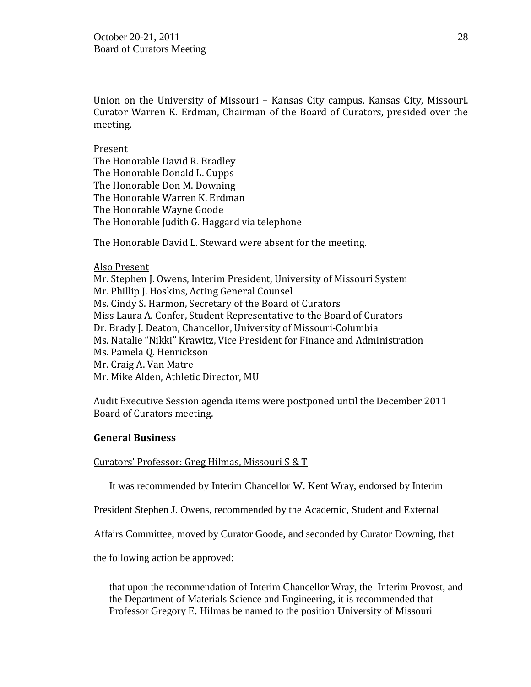Union on the University of Missouri – Kansas City campus, Kansas City, Missouri. Curator Warren K. Erdman, Chairman of the Board of Curators, presided over the meeting.

### Present

The Honorable David R. Bradley The Honorable Donald L. Cupps The Honorable Don M. Downing The Honorable Warren K. Erdman The Honorable Wayne Goode The Honorable Judith G. Haggard via telephone

The Honorable David L. Steward were absent for the meeting.

### Also Present

Mr. Stephen J. Owens, Interim President, University of Missouri System Mr. Phillip J. Hoskins, Acting General Counsel Ms. Cindy S. Harmon, Secretary of the Board of Curators Miss Laura A. Confer, Student Representative to the Board of Curators Dr. Brady J. Deaton, Chancellor, University of Missouri-Columbia Ms. Natalie "Nikki" Krawitz, Vice President for Finance and Administration Ms. Pamela Q. Henrickson Mr. Craig A. Van Matre Mr. Mike Alden, Athletic Director, MU

Audit Executive Session agenda items were postponed until the December 2011 Board of Curators meeting.

### **General Business**

Curators' Professor: Greg Hilmas, Missouri S & T

It was recommended by Interim Chancellor W. Kent Wray, endorsed by Interim

President Stephen J. Owens, recommended by the Academic, Student and External

Affairs Committee, moved by Curator Goode, and seconded by Curator Downing, that

the following action be approved:

that upon the recommendation of Interim Chancellor Wray, the Interim Provost, and the Department of Materials Science and Engineering, it is recommended that Professor Gregory E. Hilmas be named to the position University of Missouri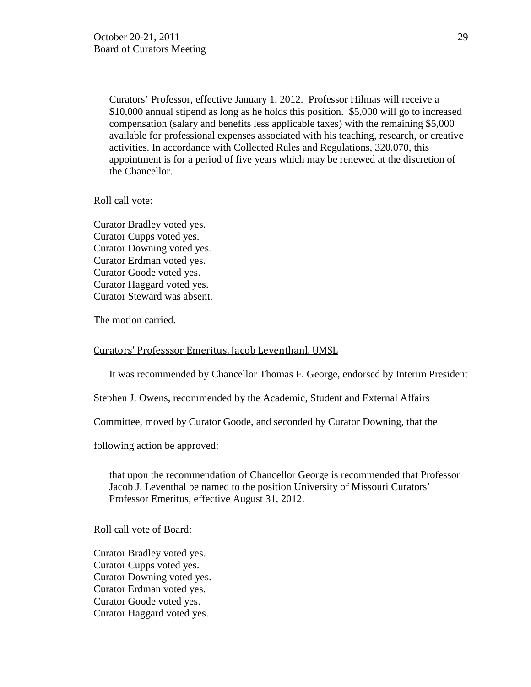Curators' Professor, effective January 1, 2012. Professor Hilmas will receive a \$10,000 annual stipend as long as he holds this position. \$5,000 will go to increased compensation (salary and benefits less applicable taxes) with the remaining \$5,000 available for professional expenses associated with his teaching, research, or creative activities. In accordance with Collected Rules and Regulations, 320.070, this appointment is for a period of five years which may be renewed at the discretion of the Chancellor.

Roll call vote:

Curator Bradley voted yes. Curator Cupps voted yes. Curator Downing voted yes. Curator Erdman voted yes. Curator Goode voted yes. Curator Haggard voted yes. Curator Steward was absent.

The motion carried.

#### Curators' Professsor Emeritus, Jacob Leventhanl, UMSL

It was recommended by Chancellor Thomas F. George, endorsed by Interim President

Stephen J. Owens, recommended by the Academic, Student and External Affairs

Committee, moved by Curator Goode, and seconded by Curator Downing, that the

following action be approved:

that upon the recommendation of Chancellor George is recommended that Professor Jacob J. Leventhal be named to the position University of Missouri Curators' Professor Emeritus, effective August 31, 2012.

Roll call vote of Board:

Curator Bradley voted yes. Curator Cupps voted yes. Curator Downing voted yes. Curator Erdman voted yes. Curator Goode voted yes. Curator Haggard voted yes.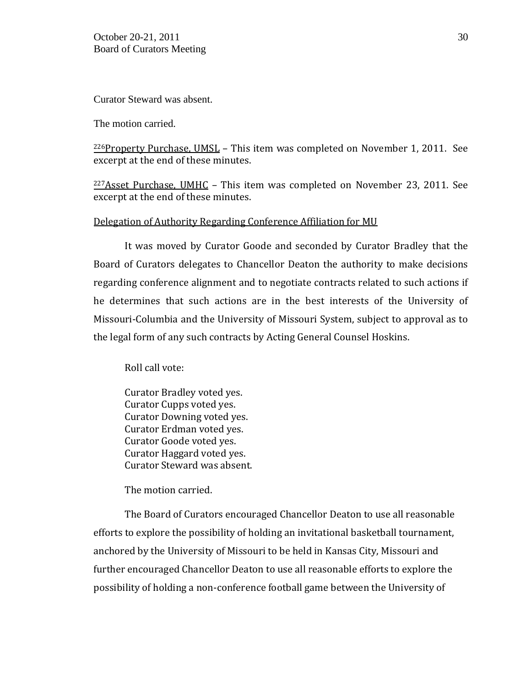Curator Steward was absent.

The motion carried.

226Property Purchase, UMSL – This item was completed on November 1, 2011. See excerpt at the end of these minutes.

 $227$ Asset Purchase, UMHC – This item was completed on November 23, 2011. See excerpt at the end of these minutes.

## Delegation of Authority Regarding Conference Affiliation for MU

It was moved by Curator Goode and seconded by Curator Bradley that the Board of Curators delegates to Chancellor Deaton the authority to make decisions regarding conference alignment and to negotiate contracts related to such actions if he determines that such actions are in the best interests of the University of Missouri-Columbia and the University of Missouri System, subject to approval as to the legal form of any such contracts by Acting General Counsel Hoskins.

Roll call vote:

Curator Bradley voted yes. Curator Cupps voted yes. Curator Downing voted yes. Curator Erdman voted yes. Curator Goode voted yes. Curator Haggard voted yes. Curator Steward was absent.

The motion carried.

The Board of Curators encouraged Chancellor Deaton to use all reasonable efforts to explore the possibility of holding an invitational basketball tournament, anchored by the University of Missouri to be held in Kansas City, Missouri and further encouraged Chancellor Deaton to use all reasonable efforts to explore the possibility of holding a non-conference football game between the University of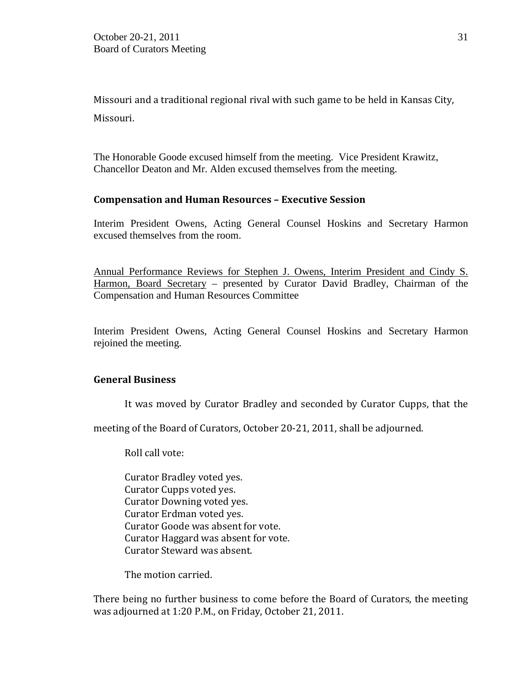Missouri and a traditional regional rival with such game to be held in Kansas City, Missouri.

The Honorable Goode excused himself from the meeting. Vice President Krawitz, Chancellor Deaton and Mr. Alden excused themselves from the meeting.

## **Compensation and Human Resources – Executive Session**

Interim President Owens, Acting General Counsel Hoskins and Secretary Harmon excused themselves from the room.

Annual Performance Reviews for Stephen J. Owens, Interim President and Cindy S. Harmon, Board Secretary - presented by Curator David Bradley, Chairman of the Compensation and Human Resources Committee

Interim President Owens, Acting General Counsel Hoskins and Secretary Harmon rejoined the meeting.

# **General Business**

It was moved by Curator Bradley and seconded by Curator Cupps, that the

meeting of the Board of Curators, October 20-21, 2011, shall be adjourned.

Roll call vote:

Curator Bradley voted yes. Curator Cupps voted yes. Curator Downing voted yes. Curator Erdman voted yes. Curator Goode was absent for vote. Curator Haggard was absent for vote. Curator Steward was absent.

The motion carried.

There being no further business to come before the Board of Curators, the meeting was adjourned at 1:20 P.M., on Friday, October 21, 2011.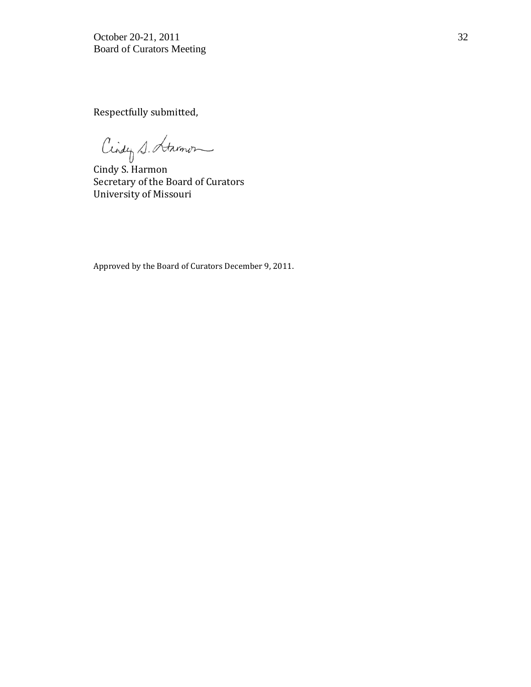Respectfully submitted,

Cindy S. Harmon

Cindy S. Harmon Secretary of the Board of Curators University of Missouri

Approved by the Board of Curators December 9, 2011.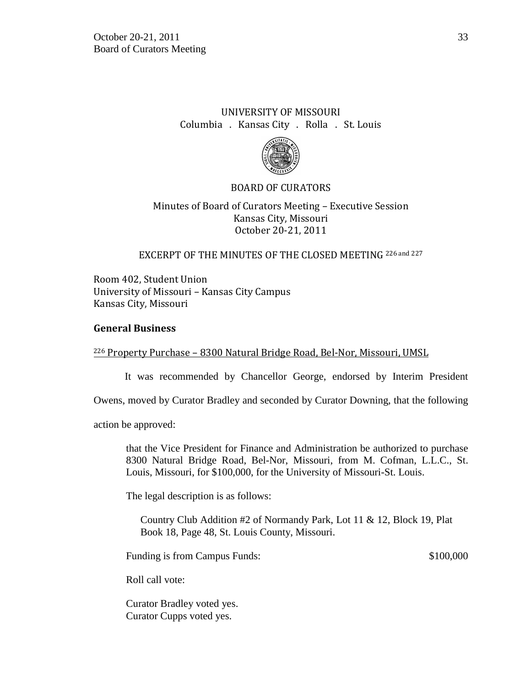# UNIVERSITY OF MISSOURI Columbia . Kansas City . Rolla . St. Louis



# BOARD OF CURATORS

# Minutes of Board of Curators Meeting – Executive Session Kansas City, Missouri October 20-21, 2011

## EXCERPT OF THE MINUTES OF THE CLOSED MEETING 226 and 227

Room 402, Student Union University of Missouri – Kansas City Campus Kansas City, Missouri

## **General Business**

## <sup>226</sup> Property Purchase – 8300 Natural Bridge Road, Bel-Nor, Missouri, UMSL

It was recommended by Chancellor George, endorsed by Interim President

Owens, moved by Curator Bradley and seconded by Curator Downing, that the following

action be approved:

that the Vice President for Finance and Administration be authorized to purchase 8300 Natural Bridge Road, Bel-Nor, Missouri, from M. Cofman, L.L.C., St. Louis, Missouri, for \$100,000, for the University of Missouri-St. Louis.

The legal description is as follows:

Country Club Addition #2 of Normandy Park, Lot 11 & 12, Block 19, Plat Book 18, Page 48, St. Louis County, Missouri.

Funding is from Campus Funds:  $$100,000$ 

Roll call vote:

Curator Bradley voted yes. Curator Cupps voted yes.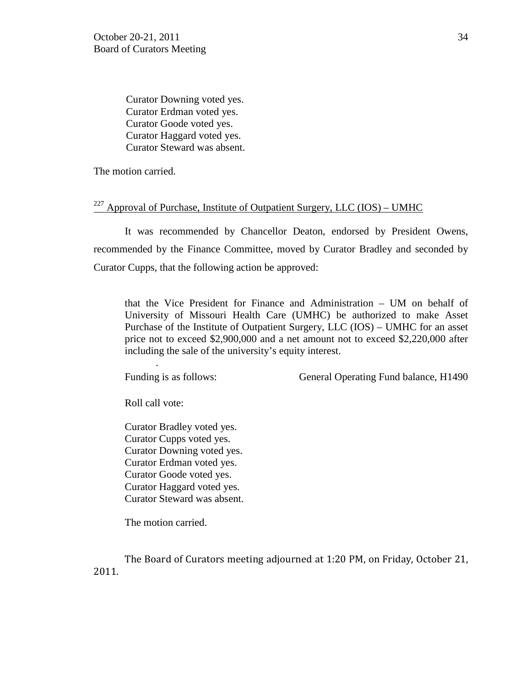Curator Downing voted yes. Curator Erdman voted yes. Curator Goode voted yes. Curator Haggard voted yes. Curator Steward was absent.

The motion carried.

## <sup>227</sup> Approval of Purchase, Institute of Outpatient Surgery, LLC (IOS) – UMHC

It was recommended by Chancellor Deaton, endorsed by President Owens, recommended by the Finance Committee, moved by Curator Bradley and seconded by Curator Cupps, that the following action be approved:

that the Vice President for Finance and Administration – UM on behalf of University of Missouri Health Care (UMHC) be authorized to make Asset Purchase of the Institute of Outpatient Surgery, LLC (IOS) – UMHC for an asset price not to exceed \$2,900,000 and a net amount not to exceed \$2,220,000 after including the sale of the university's equity interest.

Funding is as follows: General Operating Fund balance, H1490

Roll call vote:

*.* 

Curator Bradley voted yes. Curator Cupps voted yes. Curator Downing voted yes. Curator Erdman voted yes. Curator Goode voted yes. Curator Haggard voted yes. Curator Steward was absent.

The motion carried.

The Board of Curators meeting adjourned at 1:20 PM, on Friday, October 21, 2011.